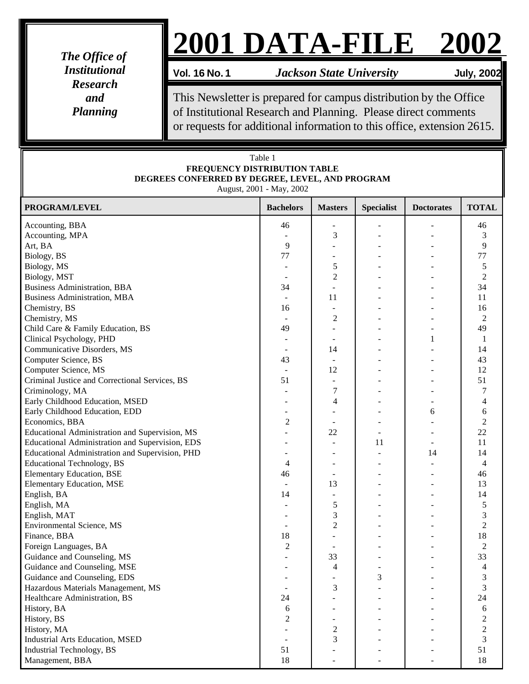*The Office of Institutional Research and Planning*

## **2001 DATA-FILE 2002**

**Vol. 16 No. 1** *Jackson State University* **July, 2002**

This Newsletter is prepared for campus distribution by the Office of Institutional Research and Planning. Please direct comments or requests for additional information to this office, extension 2615.

| Table 1<br>FREQUENCY DISTRIBUTION TABLE<br>DEGREES CONFERRED BY DEGREE, LEVEL, AND PROGRAM<br>August, 2001 - May, 2002 |                               |                |                          |                   |                  |  |  |  |
|------------------------------------------------------------------------------------------------------------------------|-------------------------------|----------------|--------------------------|-------------------|------------------|--|--|--|
| PROGRAM/LEVEL                                                                                                          | <b>Bachelors</b>              | <b>Masters</b> | <b>Specialist</b>        | <b>Doctorates</b> | <b>TOTAL</b>     |  |  |  |
| Accounting, BBA                                                                                                        | 46                            |                |                          |                   | 46               |  |  |  |
| Accounting, MPA                                                                                                        |                               | 3              |                          |                   | 3                |  |  |  |
| Art, BA                                                                                                                | 9                             |                |                          |                   | 9                |  |  |  |
| Biology, BS                                                                                                            | 77                            |                |                          |                   | 77               |  |  |  |
| Biology, MS                                                                                                            |                               | 5              |                          |                   | 5                |  |  |  |
| Biology, MST                                                                                                           | $\overline{\phantom{a}}$      | $\mathfrak{2}$ |                          |                   | $\overline{2}$   |  |  |  |
| <b>Business Administration, BBA</b>                                                                                    | 34                            |                |                          |                   | 34               |  |  |  |
| <b>Business Administration, MBA</b>                                                                                    | $\overline{\phantom{a}}$      | 11             |                          |                   | 11               |  |  |  |
| Chemistry, BS                                                                                                          | 16                            |                |                          |                   | 16               |  |  |  |
| Chemistry, MS                                                                                                          | $\overline{\phantom{a}}$      | $\overline{c}$ |                          |                   | $\overline{2}$   |  |  |  |
| Child Care & Family Education, BS                                                                                      | 49                            |                |                          |                   | 49               |  |  |  |
| Clinical Psychology, PHD                                                                                               |                               |                |                          | 1                 | 1                |  |  |  |
| Communicative Disorders, MS                                                                                            | $\overline{\phantom{a}}$      | 14             |                          |                   | 14               |  |  |  |
| Computer Science, BS                                                                                                   | 43                            |                |                          |                   | 43               |  |  |  |
| Computer Science, MS                                                                                                   | $\blacksquare$                | 12             |                          |                   | 12               |  |  |  |
| Criminal Justice and Correctional Services, BS                                                                         | 51                            | $\blacksquare$ |                          |                   | 51               |  |  |  |
| Criminology, MA                                                                                                        |                               | 7              |                          |                   | 7                |  |  |  |
| Early Childhood Education, MSED                                                                                        | $\overline{\phantom{a}}$      | 4              |                          |                   | 4                |  |  |  |
| Early Childhood Education, EDD                                                                                         | ٠                             |                |                          | 6                 | 6                |  |  |  |
| Economics, BBA                                                                                                         | $\overline{c}$                |                |                          |                   | $\overline{2}$   |  |  |  |
| Educational Administration and Supervision, MS                                                                         |                               | 22             |                          |                   | 22               |  |  |  |
| Educational Administration and Supervision, EDS                                                                        |                               |                | 11                       |                   | 11               |  |  |  |
| Educational Administration and Supervision, PHD                                                                        |                               |                |                          | 14                | 14               |  |  |  |
| <b>Educational Technology, BS</b>                                                                                      | $\overline{\phantom{a}}$<br>4 |                |                          |                   | $\overline{4}$   |  |  |  |
|                                                                                                                        |                               |                |                          |                   | 46               |  |  |  |
| <b>Elementary Education, BSE</b>                                                                                       | 46                            | 13             |                          |                   | 13               |  |  |  |
| <b>Elementary Education, MSE</b>                                                                                       | $\overline{\phantom{a}}$      |                |                          |                   | 14               |  |  |  |
| English, BA                                                                                                            | 14                            |                |                          |                   |                  |  |  |  |
| English, MA                                                                                                            |                               | 5              |                          |                   | $\mathfrak s$    |  |  |  |
| English, MAT                                                                                                           |                               | 3              |                          |                   | 3                |  |  |  |
| Environmental Science, MS                                                                                              |                               | $\overline{2}$ |                          |                   | $\overline{c}$   |  |  |  |
| Finance, BBA                                                                                                           | 18                            |                |                          |                   | 18               |  |  |  |
| Foreign Languages, BA                                                                                                  | $\overline{c}$                |                |                          |                   | 2                |  |  |  |
| Guidance and Counseling, MS                                                                                            |                               | 33             |                          |                   | 33               |  |  |  |
| Guidance and Counseling, MSE                                                                                           |                               | 4              | $\overline{\phantom{a}}$ |                   | $\overline{4}$   |  |  |  |
| Guidance and Counseling, EDS                                                                                           |                               |                | 3                        |                   | $\sqrt{3}$       |  |  |  |
| Hazardous Materials Management, MS                                                                                     | $\overline{\phantom{a}}$      | 3              |                          |                   | $\overline{3}$   |  |  |  |
| Healthcare Administration, BS                                                                                          | 24                            |                |                          |                   | 24               |  |  |  |
| History, BA                                                                                                            | 6                             |                |                          |                   | $\sqrt{6}$       |  |  |  |
| History, BS                                                                                                            | $\overline{c}$                |                |                          |                   | $\boldsymbol{2}$ |  |  |  |
| History, MA                                                                                                            |                               | $\overline{c}$ |                          |                   | $\overline{c}$   |  |  |  |
| <b>Industrial Arts Education, MSED</b>                                                                                 | $\overline{\phantom{a}}$      | 3              |                          |                   | $\overline{3}$   |  |  |  |
| Industrial Technology, BS                                                                                              | 51                            |                |                          |                   | 51               |  |  |  |
| Management, BBA                                                                                                        | 18                            |                |                          |                   | 18               |  |  |  |